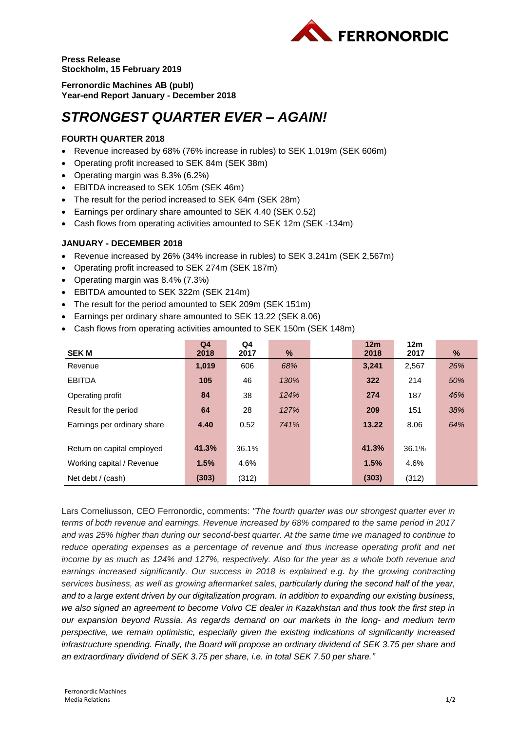

**Press Release Stockholm, 15 February 2019**

**Ferronordic Machines AB (publ) Year-end Report January - December 2018**

# *STRONGEST QUARTER EVER – AGAIN!*

# **FOURTH QUARTER 2018**

- Revenue increased by 68% (76% increase in rubles) to SEK 1,019m (SEK 606m)
- Operating profit increased to SEK 84m (SEK 38m)
- Operating margin was 8.3% (6.2%)
- EBITDA increased to SEK 105m (SEK 46m)
- The result for the period increased to SEK 64m (SEK 28m)
- Earnings per ordinary share amounted to SEK 4.40 (SEK 0.52)
- Cash flows from operating activities amounted to SEK 12m (SEK -134m)

## **JANUARY - DECEMBER 2018**

- Revenue increased by 26% (34% increase in rubles) to SEK 3,241m (SEK 2,567m)
- Operating profit increased to SEK 274m (SEK 187m)
- Operating margin was 8.4% (7.3%)
- EBITDA amounted to SEK 322m (SEK 214m)
- The result for the period amounted to SEK 209m (SEK 151m)
- Earnings per ordinary share amounted to SEK 13.22 (SEK 8.06)
- Cash flows from operating activities amounted to SEK 150m (SEK 148m)

|                             | Q <sub>4</sub> | Q4    |      | 12 <sub>m</sub> | 12 <sub>m</sub> |     |
|-----------------------------|----------------|-------|------|-----------------|-----------------|-----|
| <b>SEKM</b>                 | 2018           | 2017  | %    | 2018            | 2017            | %   |
| Revenue                     | 1,019          | 606   | 68%  | 3,241           | 2,567           | 26% |
| <b>EBITDA</b>               | 105            | 46    | 130% | 322             | 214             | 50% |
| Operating profit            | 84             | 38    | 124% | 274             | 187             | 46% |
| Result for the period       | 64             | 28    | 127% | 209             | 151             | 38% |
| Earnings per ordinary share | 4.40           | 0.52  | 741% | 13.22           | 8.06            | 64% |
|                             |                |       |      |                 |                 |     |
| Return on capital employed  | 41.3%          | 36.1% |      | 41.3%           | 36.1%           |     |
| Working capital / Revenue   | 1.5%           | 4.6%  |      | 1.5%            | 4.6%            |     |
| Net debt / (cash)           | (303)          | (312) |      | (303)           | (312)           |     |

Lars Corneliusson, CEO Ferronordic, comments: *"The fourth quarter was our strongest quarter ever in terms of both revenue and earnings. Revenue increased by 68% compared to the same period in 2017 and was 25% higher than during our second-best quarter. At the same time we managed to continue to*  reduce operating expenses as a percentage of revenue and thus increase operating profit and net *income by as much as 124% and 127%, respectively. Also for the year as a whole both revenue and earnings increased significantly. Our success in 2018 is explained e.g. by the growing contracting services business, as well as growing aftermarket sales, particularly during the second half of the year, and to a large extent driven by our digitalization program. In addition to expanding our existing business, we also signed an agreement to become Volvo CE dealer in Kazakhstan and thus took the first step in our expansion beyond Russia. As regards demand on our markets in the long- and medium term perspective, we remain optimistic, especially given the existing indications of significantly increased infrastructure spending. Finally, the Board will propose an ordinary dividend of SEK 3.75 per share and an extraordinary dividend of SEK 3.75 per share, i.e. in total SEK 7.50 per share."*